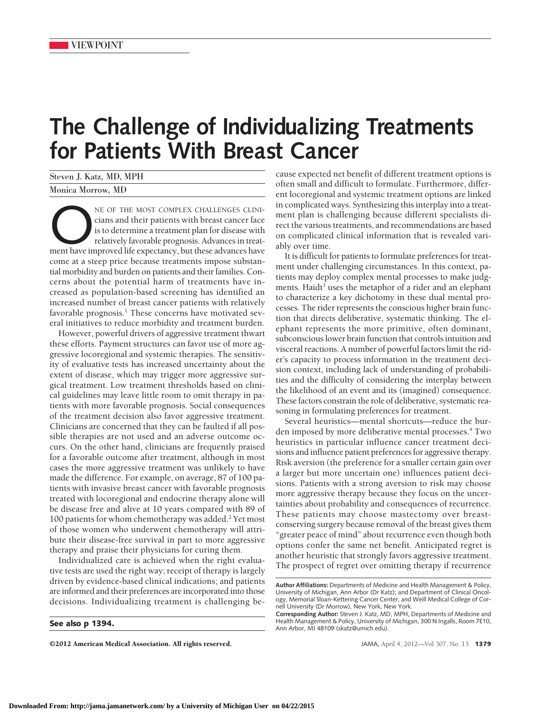## **The Challenge of Individualizing Treatments for Patients With Breast Cancer**

Steven J. Katz, MD, MPH Monica Morrow, MD

NE OF THE MOST COMPLEX CHALLENGES CLINI-<br>cians and their patients with breast cancer face<br>is to determine a treatment plan for disease with<br>relatively favorable prognosis. Advances in treat-<br>ment have improved life expecta cians and their patients with breast cancer face is to determine a treatment plan for disease with relatively favorable prognosis. Advances in treatcome at a steep price because treatments impose substantial morbidity and burden on patients and their families. Concerns about the potential harm of treatments have increased as population-based screening has identified an increased number of breast cancer patients with relatively favorable prognosis.<sup>1</sup> These concerns have motivated several initiatives to reduce morbidity and treatment burden.

However, powerful drivers of aggressive treatment thwart these efforts. Payment structures can favor use of more aggressive locoregional and systemic therapies. The sensitivity of evaluative tests has increased uncertainty about the extent of disease, which may trigger more aggressive surgical treatment. Low treatment thresholds based on clinical guidelines may leave little room to omit therapy in patients with more favorable prognosis. Social consequences of the treatment decision also favor aggressive treatment. Clinicians are concerned that they can be faulted if all possible therapies are not used and an adverse outcome occurs. On the other hand, clinicians are frequently praised for a favorable outcome after treatment, although in most cases the more aggressive treatment was unlikely to have made the difference. For example, on average, 87 of 100 patients with invasive breast cancer with favorable prognosis treated with locoregional and endocrine therapy alone will be disease free and alive at 10 years compared with 89 of 100 patients for whom chemotherapy was added.<sup>2</sup> Yet most of those women who underwent chemotherapy will attribute their disease-free survival in part to more aggressive therapy and praise their physicians for curing them.

Individualized care is achieved when the right evaluative tests are used the right way; receipt of therapy is largely driven by evidence-based clinical indications; and patients are informed and their preferences are incorporated into those decisions. Individualizing treatment is challenging be-

**See also p 1394.**

©2012 American Medical Association. All rights reserved. JAMA, April 4, 2012—Vol 307, No. 13 **1379**

cause expected net benefit of different treatment options is often small and difficult to formulate. Furthermore, different locoregional and systemic treatment options are linked in complicated ways. Synthesizing this interplay into a treatment plan is challenging because different specialists direct the various treatments, and recommendations are based on complicated clinical information that is revealed variably over time.

It is difficult for patients to formulate preferences for treatment under challenging circumstances. In this context, patients may deploy complex mental processes to make judgments. Haidt<sup>3</sup> uses the metaphor of a rider and an elephant to characterize a key dichotomy in these dual mental processes. The rider represents the conscious higher brain function that directs deliberative, systematic thinking. The elephant represents the more primitive, often dominant, subconscious lower brain function that controls intuition and visceral reactions. A number of powerful factors limit the rider's capacity to process information in the treatment decision context, including lack of understanding of probabilities and the difficulty of considering the interplay between the likelihood of an event and its (imagined) consequence. These factors constrain the role of deliberative, systematic reasoning in formulating preferences for treatment.

Several heuristics—mental shortcuts—reduce the burden imposed by more deliberative mental processes.<sup>4</sup> Two heuristics in particular influence cancer treatment decisions and influence patient preferences for aggressive therapy. Risk aversion (the preference for a smaller certain gain over a larger but more uncertain one) influences patient decisions. Patients with a strong aversion to risk may choose more aggressive therapy because they focus on the uncertainties about probability and consequences of recurrence. These patients may choose mastectomy over breastconserving surgery because removal of the breast gives them "greater peace of mind" about recurrence even though both options confer the same net benefit. Anticipated regret is another heuristic that strongly favors aggressive treatment. The prospect of regret over omitting therapy if recurrence

**Author Affiliations:** Departments of Medicine and Health Management & Policy, University of Michigan, Ann Arbor (Dr Katz); and Department of Clinical Oncology, Memorial Sloan-Kettering Cancer Center, and Weill Medical College of Cornell University (Dr Morrow), New York, New York.

**Corresponding Author:** Steven J. Katz, MD, MPH, Departments of Medicine and Health Management & Policy, University of Michigan, 300 N Ingalls, Room 7E10, Ann Arbor, MI 48109 (skatz@umich.edu).